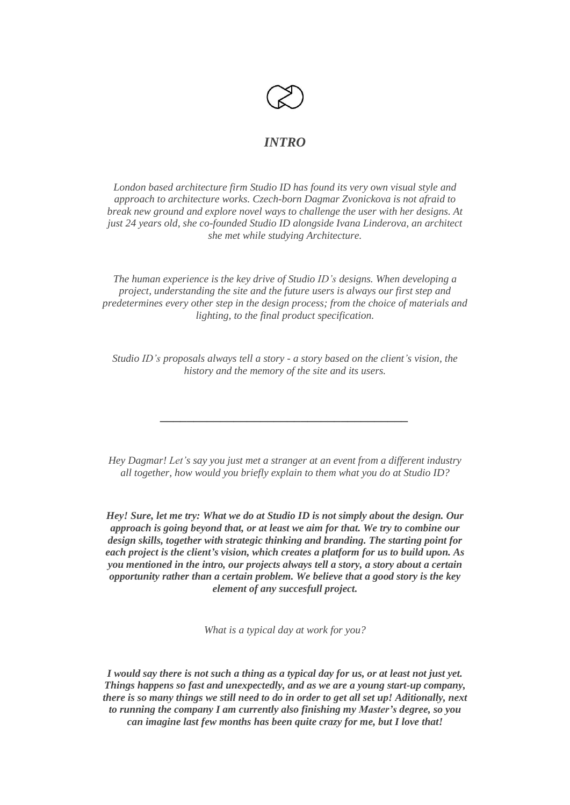

# *INTRO*

*London based architecture firm Studio ID has found its very own visual style and approach to architecture works. Czech-born Dagmar Zvonickova is not afraid to break new ground and explore novel ways to challenge the user with her designs. At just 24 years old, she co-founded Studio ID alongside Ivana Linderova, an architect she met while studying Architecture.*

*The human experience is the key drive of Studio ID's designs. When developing a project, understanding the site and the future users is always our first step and predetermines every other step in the design process; from the choice of materials and lighting, to the final product specification.*

*Studio ID's proposals always tell a story - a story based on the client's vision, the history and the memory of the site and its users.*

*\_\_\_\_\_\_\_\_\_\_\_\_\_\_\_\_\_\_\_\_\_\_\_\_\_\_\_\_\_\_\_\_\_\_\_\_\_*

*Hey Dagmar! Let's say you just met a stranger at an event from a different industry all together, how would you briefly explain to them what you do at Studio ID?*

*Hey! Sure, let me try: What we do at Studio ID is not simply about the design. Our approach is going beyond that, or at least we aim for that. We try to combine our design skills, together with strategic thinking and branding. The starting point for each project is the client's vision, which creates a platform for us to build upon. As you mentioned in the intro, our projects always tell a story, a story about a certain opportunity rather than a certain problem. We believe that a good story is the key element of any succesfull project.*

*What is a typical day at work for you?*

I would say there is not such a thing as a typical day for us, or at least not just yet. *Things happens so fast and unexpectedly, and as we are a young start-up company, there is so many things we still need to do in order to get all set up! Aditionally, next to running the company I am currently also finishing my Master's degree, so you can imagine last few months has been quite crazy for me, but I love that!*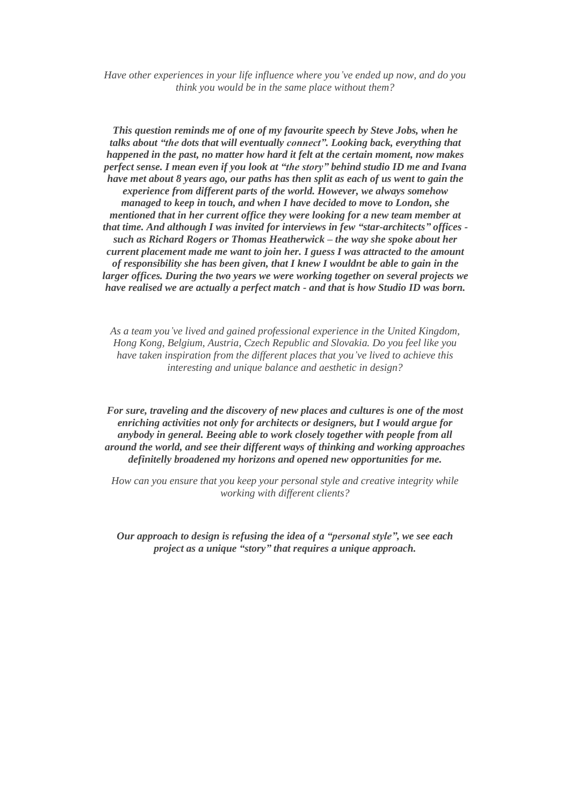*Have other experiences in your life influence where you've ended up now, and do you think you would be in the same place without them?*

*This question reminds me of one of my favourite speech by Steve Jobs, when he talks about "the dots that will eventually connect". Looking back, everything that happened in the past, no matter how hard it felt at the certain moment, now makes perfect sense. I mean even if you look at "the story" behind studio ID me and Ivana have met about 8 years ago, our paths has then split as each of us went to gain the experience from different parts of the world. However, we always somehow managed to keep in touch, and when I have decided to move to London, she mentioned that in her current office they were looking for a new team member at that time. And although I was invited for interviews in few "star-architects" offices such as Richard Rogers or Thomas Heatherwick – the way she spoke about her current placement made me want to join her. I guess I was attracted to the amount of responsibility she has been given, that I knew I wouldnt be able to gain in the larger offices. During the two years we were working together on several projects we have realised we are actually a perfect match - and that is how Studio ID was born.*

*As a team you've lived and gained professional experience in the United Kingdom, Hong Kong, Belgium, Austria, Czech Republic and Slovakia. Do you feel like you have taken inspiration from the different places that you've lived to achieve this interesting and unique balance and aesthetic in design?*

*For sure, traveling and the discovery of new places and cultures is one of the most enriching activities not only for architects or designers, but I would argue for anybody in general. Beeing able to work closely together with people from all around the world, and see their different ways of thinking and working approaches definitelly broadened my horizons and opened new opportunities for me.*

*How can you ensure that you keep your personal style and creative integrity while working with different clients?*

*Our approach to design is refusing the idea of a "personal style", we see each project as a unique "story" that requires a unique approach.*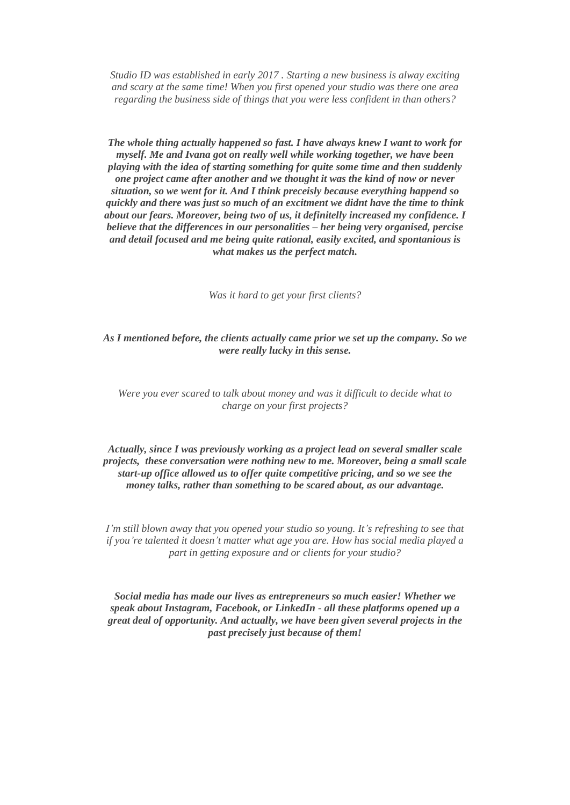*Studio ID was established in early 2017 . Starting a new business is alway exciting and scary at the same time! When you first opened your studio was there one area regarding the business side of things that you were less confident in than others?*

*The whole thing actually happened so fast. I have always knew I want to work for myself. Me and Ivana got on really well while working together, we have been playing with the idea of starting something for quite some time and then suddenly one project came after another and we thought it was the kind of now or never situation, so we went for it. And I think preceisly because everything happend so quickly and there was just so much of an excitment we didnt have the time to think about our fears. Moreover, being two of us, it definitelly increased my confidence. I believe that the differences in our personalities – her being very organised, percise and detail focused and me being quite rational, easily excited, and spontanious is what makes us the perfect match.*

*Was it hard to get your first clients?*

*As I mentioned before, the clients actually came prior we set up the company. So we were really lucky in this sense.*

### *Were you ever scared to talk about money and was it difficult to decide what to charge on your first projects?*

## *Actually, since I was previously working as a project lead on several smaller scale projects, these conversation were nothing new to me. Moreover, being a small scale start-up office allowed us to offer quite competitive pricing, and so we see the money talks, rather than something to be scared about, as our advantage.*

*I'm still blown away that you opened your studio so young. It's refreshing to see that if you're talented it doesn't matter what age you are. How has social media played a part in getting exposure and or clients for your studio?*

*Social media has made our lives as entrepreneurs so much easier! Whether we speak about Instagram, Facebook, or LinkedIn - all these platforms opened up a great deal of opportunity. And actually, we have been given several projects in the past precisely just because of them!*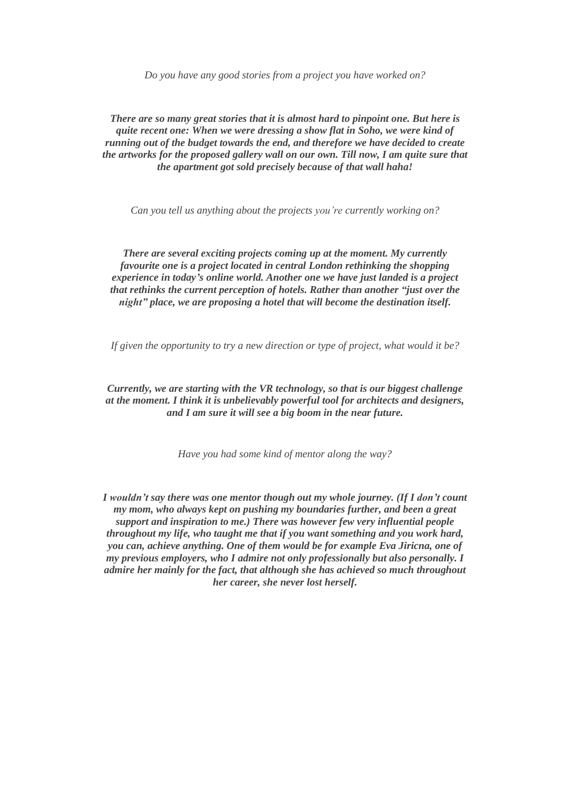*Do you have any good stories from a project you have worked on?*

*There are so many great stories that it is almost hard to pinpoint one. But here is quite recent one: When we were dressing a show flat in Soho, we were kind of running out of the budget towards the end, and therefore we have decided to create the artworks for the proposed gallery wall on our own. Till now, I am quite sure that the apartment got sold precisely because of that wall haha!*

*Can you tell us anything about the projects you're currently working on?*

*There are several exciting projects coming up at the moment. My currently favourite one is a project located in central London rethinking the shopping experience in today's online world. Another one we have just landed is a project that rethinks the current perception of hotels. Rather than another "just over the night" place, we are proposing a hotel that will become the destination itself.*

*If given the opportunity to try a new direction or type of project, what would it be?*

*Currently, we are starting with the VR technology, so that is our biggest challenge at the moment. I think it is unbelievably powerful tool for architects and designers, and I am sure it will see a big boom in the near future.*

*Have you had some kind of mentor along the way?*

*I wouldn't say there was one mentor though out my whole journey. (If I don't count my mom, who always kept on pushing my boundaries further, and been a great support and inspiration to me.) There was however few very influential people throughout my life, who taught me that if you want something and you work hard, you can, achieve anything. One of them would be for example Eva Jiricna, one of my previous employers, who I admire not only professionally but also personally. I admire her mainly for the fact, that although she has achieved so much throughout her career, she never lost herself.*